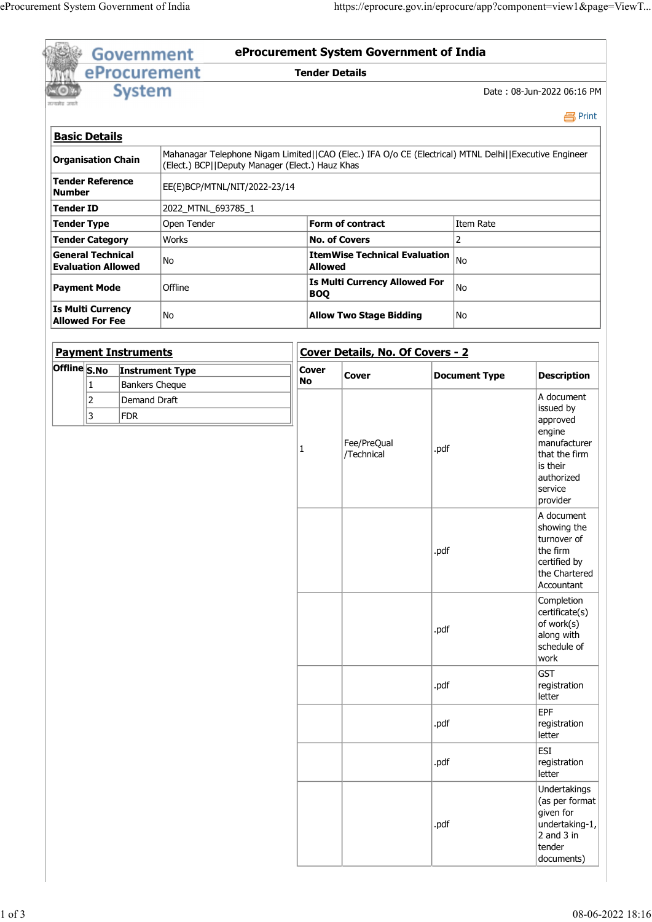| सन्यमेव जयले<br><b>Basic Details</b> |                                                       | eProcurement        | <b>Government</b>                                                                                     |                       | eProcurement System Government of India       |                             |                                          |
|--------------------------------------|-------------------------------------------------------|---------------------|-------------------------------------------------------------------------------------------------------|-----------------------|-----------------------------------------------|-----------------------------|------------------------------------------|
|                                      |                                                       |                     |                                                                                                       | <b>Tender Details</b> |                                               |                             |                                          |
|                                      |                                                       | <b>System</b>       |                                                                                                       |                       |                                               |                             | Date: 08-Jun-2022 06:16 PM               |
|                                      |                                                       |                     |                                                                                                       |                       |                                               |                             | <b>马Print</b>                            |
|                                      | Organisation Chain                                    |                     | Mahanagar Telephone Nigam Limited  CAO (Elec.) IFA O/o CE (Electrical) MTNL Delhi  Executive Engineer |                       |                                               |                             |                                          |
|                                      | Tender Reference                                      |                     | (Elect.) BCP  Deputy Manager (Elect.) Hauz Khas<br>EE(E)BCP/MTNL/NIT/2022-23/14                       |                       |                                               |                             |                                          |
| Number<br>Tender ID                  |                                                       |                     | 2022_MTNL_693785_1                                                                                    |                       |                                               |                             |                                          |
|                                      | Tender Type<br>Tender Category                        |                     | Open Tender<br>Works                                                                                  |                       | Form of contract<br><b>No. of Covers</b>      | Item Rate<br>$\overline{2}$ |                                          |
|                                      | <b>General Technical</b><br><b>Evaluation Allowed</b> |                     | No                                                                                                    | <b>Allowed</b>        | <b>ItemWise Technical Evaluation</b> $ _{No}$ |                             |                                          |
|                                      | Payment Mode                                          |                     | Offline                                                                                               | <b>BOQ</b>            | <b>Is Multi Currency Allowed For</b>          | No                          |                                          |
|                                      | Is Multi Currency<br><b>Allowed For Fee</b>           |                     | No                                                                                                    |                       | <b>Allow Two Stage Bidding</b>                | No                          |                                          |
|                                      |                                                       |                     |                                                                                                       |                       |                                               |                             |                                          |
|                                      | <b>Payment Instruments</b>                            |                     | Offline S.No Instrument Type                                                                          | <b>Cover</b>          | Cover Details, No. Of Covers - 2              |                             |                                          |
|                                      | 1                                                     | Bankers Cheque      |                                                                                                       | No                    | Cover                                         | <b>Document Type</b>        | <b>Description</b><br>A document         |
|                                      | 2 <br>3                                               | Demand Draft<br>FDR |                                                                                                       |                       |                                               |                             | issued by<br>approved                    |
|                                      |                                                       |                     |                                                                                                       |                       | Fee/PreQual                                   |                             | $ $ engine<br>manufacturer               |
|                                      |                                                       |                     |                                                                                                       |                       | /Technical                                    | .pdf                        | that the firm<br>is their                |
|                                      |                                                       |                     |                                                                                                       |                       |                                               |                             | authorized<br>service                    |
|                                      |                                                       |                     |                                                                                                       |                       |                                               |                             | provider<br>A document                   |
|                                      |                                                       |                     |                                                                                                       |                       |                                               |                             | showing the<br>turnover of               |
|                                      |                                                       |                     |                                                                                                       |                       |                                               | .pdf                        | the firm<br>certified by                 |
|                                      |                                                       |                     |                                                                                                       |                       |                                               |                             | the Chartered<br>Accountant              |
|                                      |                                                       |                     |                                                                                                       |                       |                                               |                             | Completion<br>$ $ certificate $(s)$      |
|                                      |                                                       |                     |                                                                                                       |                       |                                               | .pdf                        | of work(s)<br>along with                 |
|                                      |                                                       |                     |                                                                                                       |                       |                                               |                             | schedule of<br>work                      |
|                                      |                                                       |                     |                                                                                                       |                       |                                               | .pdf                        | GST <br>registration                     |
|                                      |                                                       |                     |                                                                                                       |                       |                                               |                             | letter<br>EPF                            |
|                                      |                                                       |                     |                                                                                                       |                       |                                               | .pdf                        | registration<br>letter                   |
|                                      |                                                       |                     |                                                                                                       |                       |                                               | .pdf                        | $\vert$ ESI<br>registration              |
|                                      |                                                       |                     |                                                                                                       |                       |                                               |                             |                                          |
|                                      |                                                       |                     |                                                                                                       |                       |                                               |                             | letter<br>Undertakings                   |
|                                      |                                                       |                     |                                                                                                       |                       |                                               |                             | $\vert$ (as per format<br>$ $ given for  |
|                                      |                                                       |                     |                                                                                                       |                       |                                               | .pdf                        | undertaking-1,<br>$2$ and 3 in<br>tender |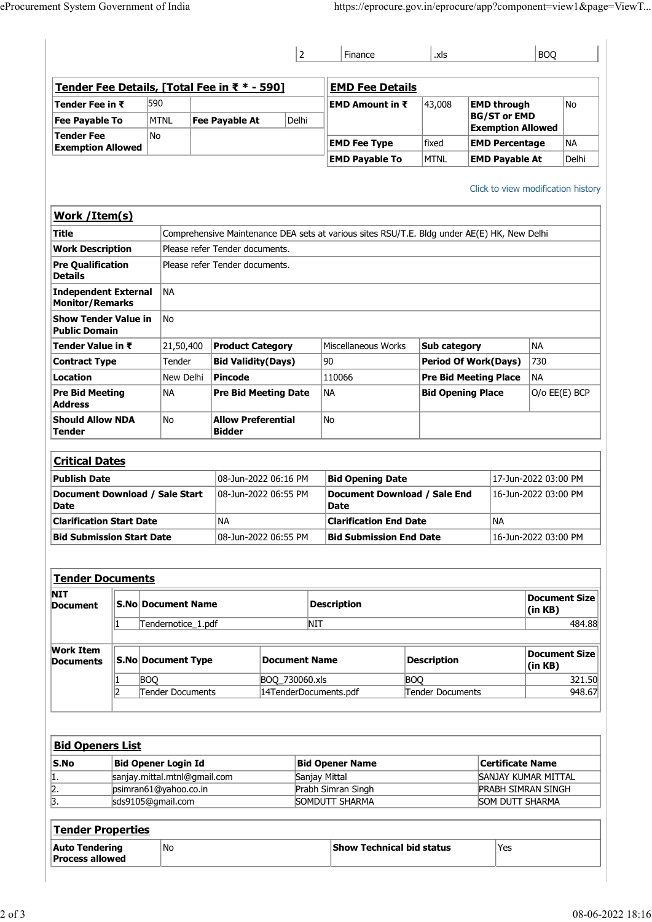| eProcurement System Government of India         |                                                            |                                                      |                             |                                                                                             |                      |                                                |                                                |                 |
|-------------------------------------------------|------------------------------------------------------------|------------------------------------------------------|-----------------------------|---------------------------------------------------------------------------------------------|----------------------|------------------------------------------------|------------------------------------------------|-----------------|
|                                                 |                                                            |                                                      |                             |                                                                                             |                      |                                                |                                                |                 |
|                                                 |                                                            |                                                      |                             |                                                                                             |                      |                                                |                                                |                 |
|                                                 |                                                            |                                                      |                             |                                                                                             |                      |                                                |                                                |                 |
|                                                 |                                                            |                                                      |                             |                                                                                             |                      |                                                |                                                |                 |
|                                                 |                                                            |                                                      |                             |                                                                                             |                      |                                                |                                                |                 |
|                                                 |                                                            |                                                      |                             |                                                                                             |                      |                                                |                                                |                 |
|                                                 |                                                            |                                                      |                             | https://eprocure.gov.in/eprocure/app?component=view1&page=ViewT                             |                      |                                                |                                                |                 |
|                                                 |                                                            |                                                      |                             |                                                                                             |                      |                                                |                                                |                 |
|                                                 |                                                            |                                                      | $\vert$ 2                   | Finance                                                                                     | .xls                 |                                                | <b>BOQ</b>                                     |                 |
| Tender Fee Details, [Total Fee in ₹ * - 590]    |                                                            |                                                      |                             | <b>EMD Fee Details</b>                                                                      |                      |                                                |                                                |                 |
| Tender Fee in ₹                                 | 590                                                        |                                                      |                             | EMD Amount in ₹                                                                             | 43,008               | <b>EMD through</b><br><b>BG/ST or EMD</b>      |                                                | No              |
| <b>Fee Payable To</b><br>Tender Fee             | MTNL<br>No                                                 | Fee Payable At                                       | Delhi                       |                                                                                             |                      | <b>Exemption Allowed</b>                       |                                                |                 |
| <b>Exemption Allowed</b>                        |                                                            |                                                      |                             | <b>EMD Fee Type</b><br><b>EMD Payable To</b>                                                | fixed<br><b>MTNL</b> | <b>EMD Percentage</b><br><b>EMD Payable At</b> |                                                | NA<br>Delhi     |
|                                                 |                                                            |                                                      |                             |                                                                                             |                      |                                                |                                                |                 |
|                                                 |                                                            |                                                      |                             |                                                                                             |                      | Click to view modification history             |                                                |                 |
| Work / Item(s)<br><b>Title</b>                  |                                                            |                                                      |                             | Comprehensive Maintenance DEA sets at various sites RSU/T.E. Bldg under AE(E) HK, New Delhi |                      |                                                |                                                |                 |
| <b>Work Description</b>                         |                                                            | Please refer Tender documents.                       |                             |                                                                                             |                      |                                                |                                                |                 |
| <b>Pre Qualification</b><br><b>Details</b>      |                                                            | Please refer Tender documents.                       |                             |                                                                                             |                      |                                                |                                                |                 |
| Independent External                            | NA                                                         |                                                      |                             |                                                                                             |                      |                                                |                                                |                 |
| Monitor/Remarks<br>Show Tender Value in         | $\overline{\mathsf{No}}$                                   |                                                      |                             |                                                                                             |                      |                                                |                                                |                 |
| <b>Public Domain</b>                            |                                                            |                                                      |                             |                                                                                             |                      |                                                |                                                |                 |
| Tender Value in ₹<br><b>Contract Type</b>       | 21,50,400<br>Tender                                        | <b>Product Category</b><br><b>Bid Validity(Days)</b> |                             | Miscellaneous Works<br>90                                                                   | Sub category         | <b>Period Of Work(Days)</b>                    | NA<br>730                                      |                 |
| Location                                        |                                                            | New Delhi Pincode                                    |                             | 110066                                                                                      |                      | <b>Pre Bid Meeting Place</b>                   | NA                                             |                 |
| <b>Pre Bid Meeting</b><br><b>Address</b>        | ∣NA                                                        |                                                      | <b>Pre Bid Meeting Date</b> | NA                                                                                          |                      | <b>Bid Opening Place</b>                       |                                                | $O/O$ EE(E) BCP |
| <b>Should Allow NDA</b>                         | No                                                         | <b>Allow Preferential</b>                            |                             | No                                                                                          |                      |                                                |                                                |                 |
| Tender                                          |                                                            | <b>Bidder</b>                                        |                             |                                                                                             |                      |                                                |                                                |                 |
| <b>Critical Dates</b>                           |                                                            |                                                      |                             |                                                                                             |                      |                                                |                                                |                 |
| <b>Publish Date</b>                             |                                                            |                                                      | 08-Jun-2022 06:16 PM        | <b>Bid Opening Date</b>                                                                     |                      |                                                | 17-Jun-2022 03:00 PM                           |                 |
| Document Download / Sale Start<br>Date          |                                                            |                                                      | 08-Jun-2022 06:55 PM        | Document Download / Sale End<br>Date                                                        |                      |                                                | 16-Jun-2022 03:00 PM                           |                 |
| <b>Clarification Start Date</b>                 |                                                            | NA                                                   |                             | <b>Clarification End Date</b>                                                               |                      | <b>NA</b>                                      |                                                |                 |
| <b>Bid Submission Start Date</b>                |                                                            |                                                      | 08-Jun-2022 06:55 PM        | <b>Bid Submission End Date</b>                                                              |                      |                                                | 16-Jun-2022 03:00 PM                           |                 |
| Tender Documents                                |                                                            |                                                      |                             |                                                                                             |                      |                                                |                                                |                 |
| <b>NIT</b>                                      |                                                            |                                                      |                             |                                                                                             |                      |                                                |                                                | Document Size   |
| Document                                        | <b>S.No Document Name</b>                                  |                                                      | NIT                         | <b>Description</b>                                                                          |                      |                                                | (in KB)                                        | 484.88          |
|                                                 | Tendernotice_1.pdf                                         |                                                      |                             |                                                                                             |                      |                                                |                                                |                 |
| <b>Work Item</b><br><b>Documents</b>            | S.No Document Type                                         |                                                      | Document Name               |                                                                                             | <b>Description</b>   |                                                | (in KB)                                        | Document Size   |
|                                                 | <b>BOQ</b>                                                 |                                                      | BOQ_730060.xls              |                                                                                             | <b>BOQ</b>           |                                                |                                                | 321.50          |
|                                                 | Tender Documents                                           |                                                      | 14TenderDocuments.pdf       |                                                                                             | Tender Documents     |                                                |                                                | 948.67          |
|                                                 |                                                            |                                                      |                             |                                                                                             |                      |                                                |                                                |                 |
| <b>Bid Openers List</b>                         |                                                            |                                                      |                             |                                                                                             |                      |                                                |                                                |                 |
| S.No<br>$\mathbf{1}$ .                          | <b>Bid Opener Login Id</b><br>sanjay.mittal.mtnl@gmail.com |                                                      |                             | <b>Bid Opener Name</b><br>Sanjay Mittal                                                     |                      |                                                | <b>Certificate Name</b><br>SANJAY KUMAR MITTAL |                 |
| $\overline{2}$ .<br>$\overline{3}$ .            | psimran61@yahoo.co.in                                      |                                                      |                             | Prabh Simran Singh                                                                          |                      |                                                | <b>PRABH SIMRAN SINGH</b>                      |                 |
|                                                 | sds9105@gmail.com                                          |                                                      |                             | SOMDUTT SHARMA                                                                              |                      |                                                | SOM DUTT SHARMA                                |                 |
|                                                 |                                                            |                                                      |                             |                                                                                             |                      |                                                |                                                |                 |
| Tender Properties                               | No                                                         |                                                      |                             | Show Technical bid status                                                                   |                      |                                                |                                                |                 |
| <b>Auto Tendering</b><br><b>Process allowed</b> |                                                            |                                                      |                             |                                                                                             |                      | Yes                                            |                                                |                 |